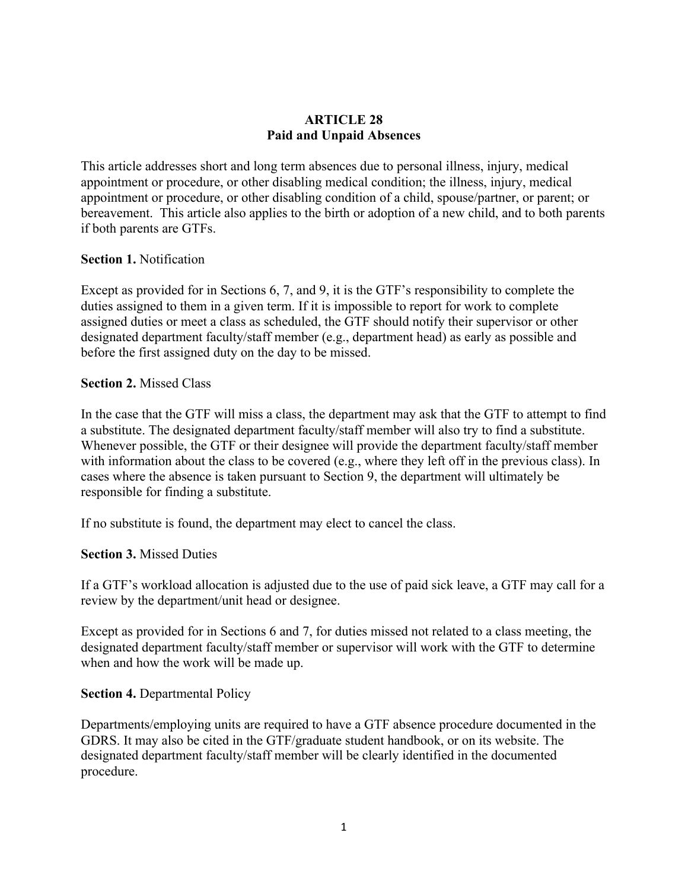## **ARTICLE 28 Paid and Unpaid Absences**

This article addresses short and long term absences due to personal illness, injury, medical appointment or procedure, or other disabling medical condition; the illness, injury, medical appointment or procedure, or other disabling condition of a child, spouse/partner, or parent; or bereavement. This article also applies to the birth or adoption of a new child, and to both parents if both parents are GTFs.

## **Section 1.** Notification

Except as provided for in Sections 6, 7, and 9, it is the GTF's responsibility to complete the duties assigned to them in a given term. If it is impossible to report for work to complete assigned duties or meet a class as scheduled, the GTF should notify their supervisor or other designated department faculty/staff member (e.g., department head) as early as possible and before the first assigned duty on the day to be missed.

## **Section 2.** Missed Class

In the case that the GTF will miss a class, the department may ask that the GTF to attempt to find a substitute. The designated department faculty/staff member will also try to find a substitute. Whenever possible, the GTF or their designee will provide the department faculty/staff member with information about the class to be covered (e.g., where they left off in the previous class). In cases where the absence is taken pursuant to Section 9, the department will ultimately be responsible for finding a substitute.

If no substitute is found, the department may elect to cancel the class.

# **Section 3.** Missed Duties

If a GTF's workload allocation is adjusted due to the use of paid sick leave, a GTF may call for a review by the department/unit head or designee.

Except as provided for in Sections 6 and 7, for duties missed not related to a class meeting, the designated department faculty/staff member or supervisor will work with the GTF to determine when and how the work will be made up.

## **Section 4.** Departmental Policy

Departments/employing units are required to have a GTF absence procedure documented in the GDRS. It may also be cited in the GTF/graduate student handbook, or on its website. The designated department faculty/staff member will be clearly identified in the documented procedure.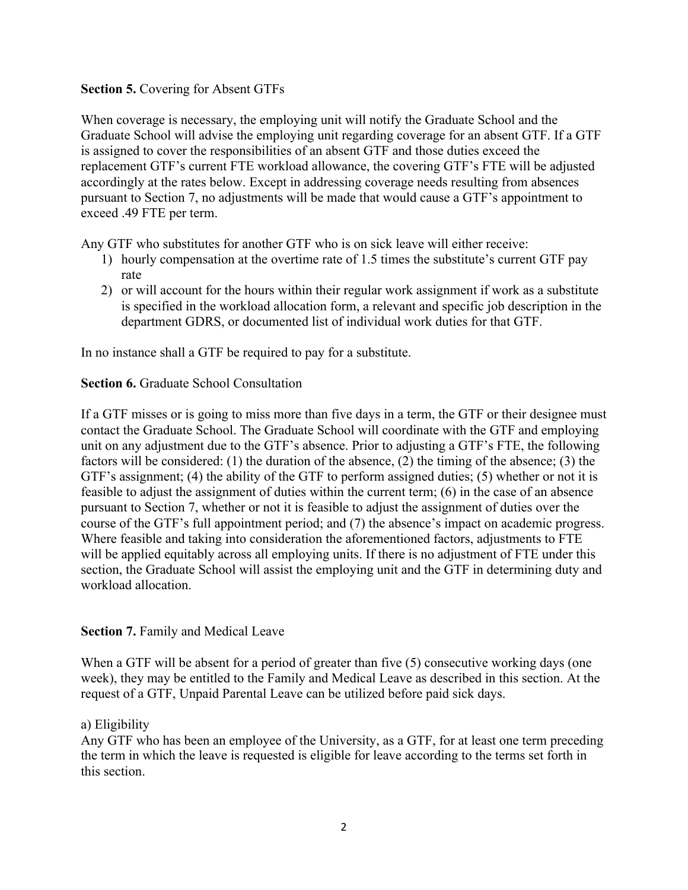## **Section 5.** Covering for Absent GTFs

When coverage is necessary, the employing unit will notify the Graduate School and the Graduate School will advise the employing unit regarding coverage for an absent GTF. If a GTF is assigned to cover the responsibilities of an absent GTF and those duties exceed the replacement GTF's current FTE workload allowance, the covering GTF's FTE will be adjusted accordingly at the rates below. Except in addressing coverage needs resulting from absences pursuant to Section 7, no adjustments will be made that would cause a GTF's appointment to exceed .49 FTE per term.

Any GTF who substitutes for another GTF who is on sick leave will either receive:

- 1) hourly compensation at the overtime rate of 1.5 times the substitute's current GTF pay rate
- 2) or will account for the hours within their regular work assignment if work as a substitute is specified in the workload allocation form, a relevant and specific job description in the department GDRS, or documented list of individual work duties for that GTF.

In no instance shall a GTF be required to pay for a substitute.

## **Section 6.** Graduate School Consultation

If a GTF misses or is going to miss more than five days in a term, the GTF or their designee must contact the Graduate School. The Graduate School will coordinate with the GTF and employing unit on any adjustment due to the GTF's absence. Prior to adjusting a GTF's FTE, the following factors will be considered: (1) the duration of the absence, (2) the timing of the absence; (3) the GTF's assignment; (4) the ability of the GTF to perform assigned duties; (5) whether or not it is feasible to adjust the assignment of duties within the current term; (6) in the case of an absence pursuant to Section 7, whether or not it is feasible to adjust the assignment of duties over the course of the GTF's full appointment period; and (7) the absence's impact on academic progress. Where feasible and taking into consideration the aforementioned factors, adjustments to FTE will be applied equitably across all employing units. If there is no adjustment of FTE under this section, the Graduate School will assist the employing unit and the GTF in determining duty and workload allocation.

## **Section 7.** Family and Medical Leave

When a GTF will be absent for a period of greater than five (5) consecutive working days (one week), they may be entitled to the Family and Medical Leave as described in this section. At the request of a GTF, Unpaid Parental Leave can be utilized before paid sick days.

## a) Eligibility

Any GTF who has been an employee of the University, as a GTF, for at least one term preceding the term in which the leave is requested is eligible for leave according to the terms set forth in this section.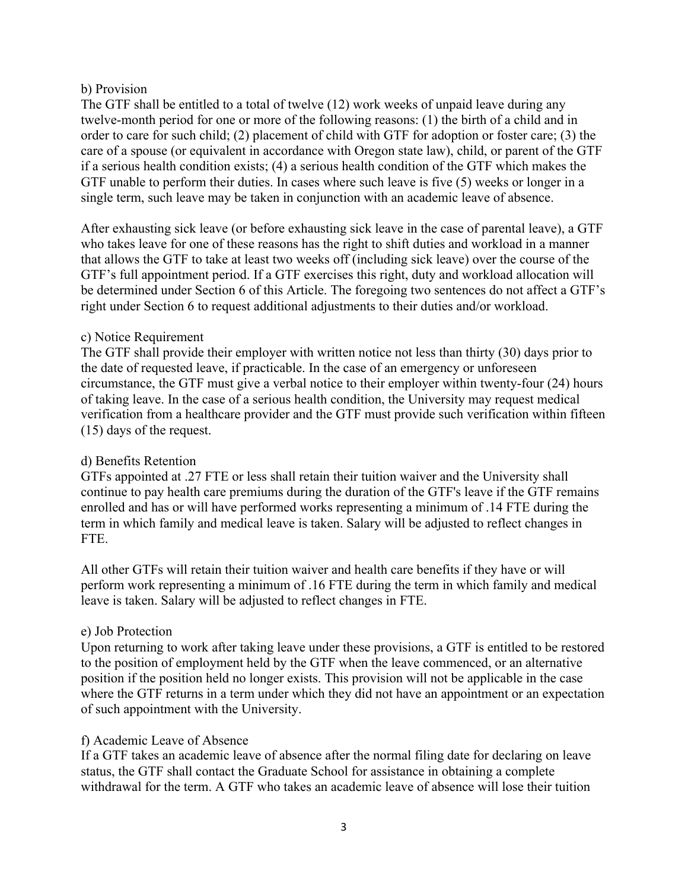## b) Provision

The GTF shall be entitled to a total of twelve (12) work weeks of unpaid leave during any twelve-month period for one or more of the following reasons: (1) the birth of a child and in order to care for such child; (2) placement of child with GTF for adoption or foster care; (3) the care of a spouse (or equivalent in accordance with Oregon state law), child, or parent of the GTF if a serious health condition exists; (4) a serious health condition of the GTF which makes the GTF unable to perform their duties. In cases where such leave is five (5) weeks or longer in a single term, such leave may be taken in conjunction with an academic leave of absence.

After exhausting sick leave (or before exhausting sick leave in the case of parental leave), a GTF who takes leave for one of these reasons has the right to shift duties and workload in a manner that allows the GTF to take at least two weeks off (including sick leave) over the course of the GTF's full appointment period. If a GTF exercises this right, duty and workload allocation will be determined under Section 6 of this Article. The foregoing two sentences do not affect a GTF's right under Section 6 to request additional adjustments to their duties and/or workload.

# c) Notice Requirement

The GTF shall provide their employer with written notice not less than thirty (30) days prior to the date of requested leave, if practicable. In the case of an emergency or unforeseen circumstance, the GTF must give a verbal notice to their employer within twenty-four (24) hours of taking leave. In the case of a serious health condition, the University may request medical verification from a healthcare provider and the GTF must provide such verification within fifteen (15) days of the request.

# d) Benefits Retention

GTFs appointed at .27 FTE or less shall retain their tuition waiver and the University shall continue to pay health care premiums during the duration of the GTF's leave if the GTF remains enrolled and has or will have performed works representing a minimum of .14 FTE during the term in which family and medical leave is taken. Salary will be adjusted to reflect changes in FTE.

All other GTFs will retain their tuition waiver and health care benefits if they have or will perform work representing a minimum of .16 FTE during the term in which family and medical leave is taken. Salary will be adjusted to reflect changes in FTE.

# e) Job Protection

Upon returning to work after taking leave under these provisions, a GTF is entitled to be restored to the position of employment held by the GTF when the leave commenced, or an alternative position if the position held no longer exists. This provision will not be applicable in the case where the GTF returns in a term under which they did not have an appointment or an expectation of such appointment with the University.

## f) Academic Leave of Absence

If a GTF takes an academic leave of absence after the normal filing date for declaring on leave status, the GTF shall contact the Graduate School for assistance in obtaining a complete withdrawal for the term. A GTF who takes an academic leave of absence will lose their tuition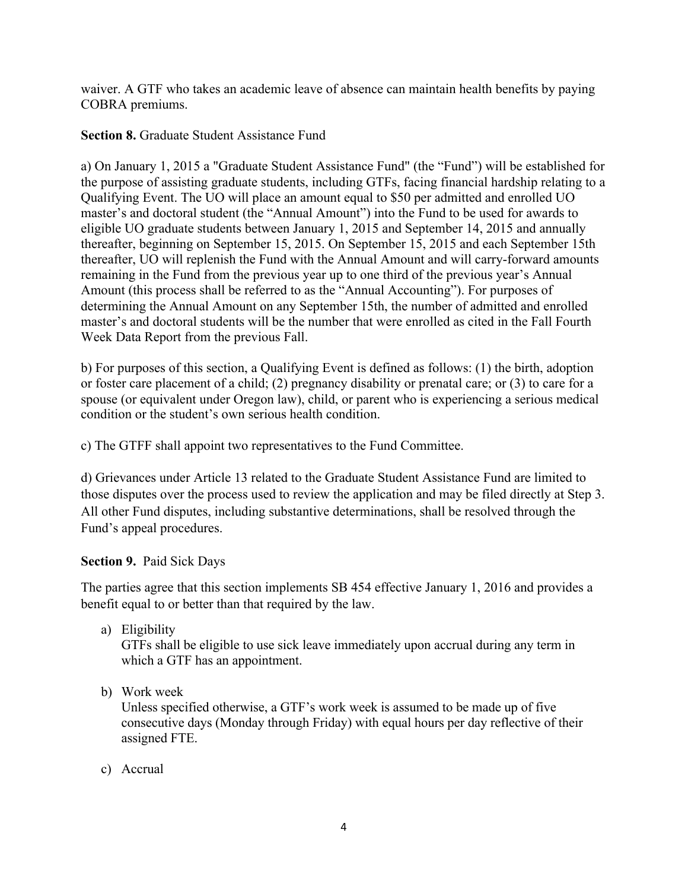waiver. A GTF who takes an academic leave of absence can maintain health benefits by paying COBRA premiums.

## **Section 8.** Graduate Student Assistance Fund

a) On January 1, 2015 a "Graduate Student Assistance Fund" (the "Fund") will be established for the purpose of assisting graduate students, including GTFs, facing financial hardship relating to a Qualifying Event. The UO will place an amount equal to \$50 per admitted and enrolled UO master's and doctoral student (the "Annual Amount") into the Fund to be used for awards to eligible UO graduate students between January 1, 2015 and September 14, 2015 and annually thereafter, beginning on September 15, 2015. On September 15, 2015 and each September 15th thereafter, UO will replenish the Fund with the Annual Amount and will carry-forward amounts remaining in the Fund from the previous year up to one third of the previous year's Annual Amount (this process shall be referred to as the "Annual Accounting"). For purposes of determining the Annual Amount on any September 15th, the number of admitted and enrolled master's and doctoral students will be the number that were enrolled as cited in the Fall Fourth Week Data Report from the previous Fall.

b) For purposes of this section, a Qualifying Event is defined as follows: (1) the birth, adoption or foster care placement of a child; (2) pregnancy disability or prenatal care; or (3) to care for a spouse (or equivalent under Oregon law), child, or parent who is experiencing a serious medical condition or the student's own serious health condition.

c) The GTFF shall appoint two representatives to the Fund Committee.

d) Grievances under Article 13 related to the Graduate Student Assistance Fund are limited to those disputes over the process used to review the application and may be filed directly at Step 3. All other Fund disputes, including substantive determinations, shall be resolved through the Fund's appeal procedures.

## **Section 9.** Paid Sick Days

The parties agree that this section implements SB 454 effective January 1, 2016 and provides a benefit equal to or better than that required by the law.

a) Eligibility

GTFs shall be eligible to use sick leave immediately upon accrual during any term in which a GTF has an appointment.

b) Work week

Unless specified otherwise, a GTF's work week is assumed to be made up of five consecutive days (Monday through Friday) with equal hours per day reflective of their assigned FTE.

c) Accrual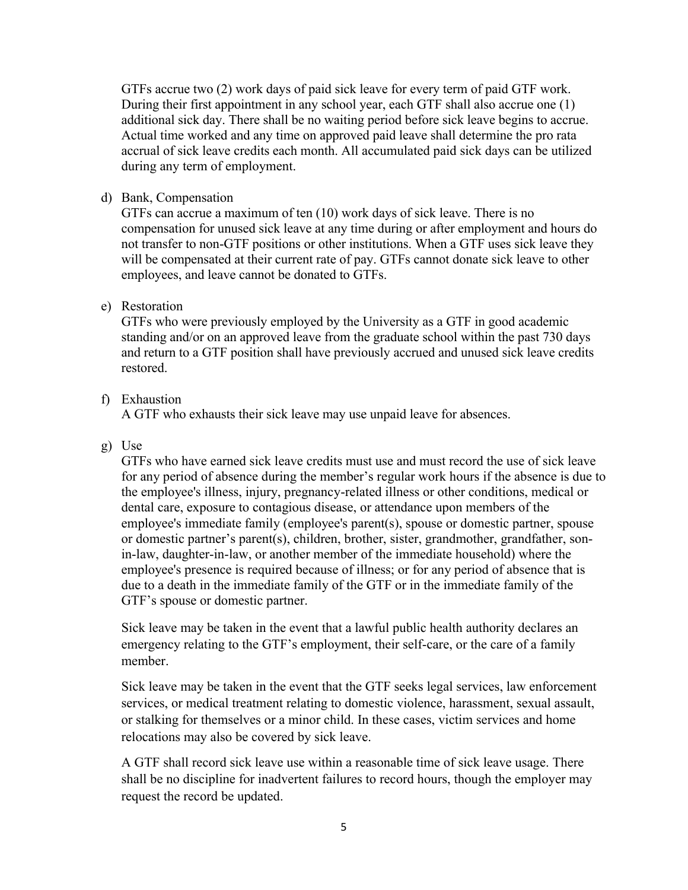GTFs accrue two (2) work days of paid sick leave for every term of paid GTF work. During their first appointment in any school year, each GTF shall also accrue one (1) additional sick day. There shall be no waiting period before sick leave begins to accrue. Actual time worked and any time on approved paid leave shall determine the pro rata accrual of sick leave credits each month. All accumulated paid sick days can be utilized during any term of employment.

d) Bank, Compensation

GTFs can accrue a maximum of ten (10) work days of sick leave. There is no compensation for unused sick leave at any time during or after employment and hours do not transfer to non-GTF positions or other institutions. When a GTF uses sick leave they will be compensated at their current rate of pay. GTFs cannot donate sick leave to other employees, and leave cannot be donated to GTFs.

# e) Restoration

GTFs who were previously employed by the University as a GTF in good academic standing and/or on an approved leave from the graduate school within the past 730 days and return to a GTF position shall have previously accrued and unused sick leave credits restored.

# f) Exhaustion

A GTF who exhausts their sick leave may use unpaid leave for absences.

g) Use

GTFs who have earned sick leave credits must use and must record the use of sick leave for any period of absence during the member's regular work hours if the absence is due to the employee's illness, injury, pregnancy-related illness or other conditions, medical or dental care, exposure to contagious disease, or attendance upon members of the employee's immediate family (employee's parent(s), spouse or domestic partner, spouse or domestic partner's parent(s), children, brother, sister, grandmother, grandfather, sonin-law, daughter-in-law, or another member of the immediate household) where the employee's presence is required because of illness; or for any period of absence that is due to a death in the immediate family of the GTF or in the immediate family of the GTF's spouse or domestic partner.

Sick leave may be taken in the event that a lawful public health authority declares an emergency relating to the GTF's employment, their self-care, or the care of a family member.

Sick leave may be taken in the event that the GTF seeks legal services, law enforcement services, or medical treatment relating to domestic violence, harassment, sexual assault, or stalking for themselves or a minor child. In these cases, victim services and home relocations may also be covered by sick leave.

A GTF shall record sick leave use within a reasonable time of sick leave usage. There shall be no discipline for inadvertent failures to record hours, though the employer may request the record be updated.